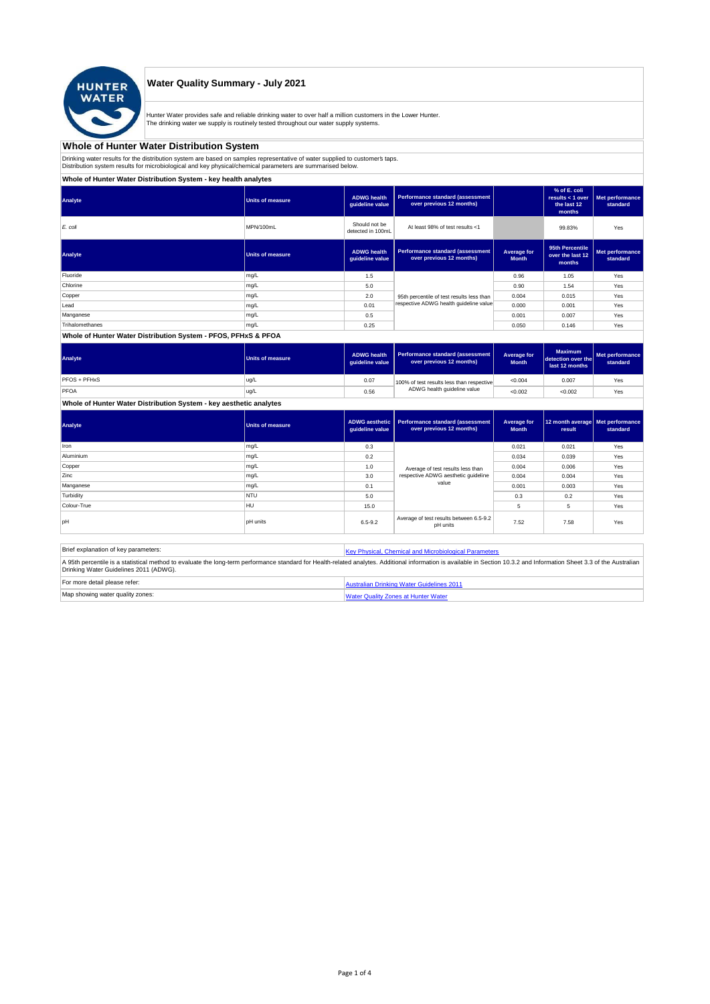

### **Water Quality Summary - July 2021**

Hunter Water provides safe and reliable drinking water to over half a million customers in the Lower Hunter. The drinking water we supply is routinely tested throughout our water supply systems.

### **Whole of Hunter Water Distribution System**

Drinking water results for the distribution system are based on samples representative of water supplied to customer' taps.<br>Distribution system results for microbiological and key physical/chemical parameters are summarise

**Whole of Hunter Water Distribution System - key health analytes**

| Analyte         | Units of measure        | <b>ADWG health</b><br>guideline value | Performance standard (assessment<br>over previous 12 months) |                             | % of E. coli<br>results $<$ 1 over<br>the last 12<br>months | Met performance<br>standard |
|-----------------|-------------------------|---------------------------------------|--------------------------------------------------------------|-----------------------------|-------------------------------------------------------------|-----------------------------|
| E. coli         | MPN/100mL               | Should not be<br>detected in 100mL    | At least 98% of test results <1                              |                             | 99.83%                                                      | Yes                         |
| Analyte         | <b>Units of measure</b> | <b>ADWG health</b><br>guideline value | Performance standard (assessment<br>over previous 12 months) | Average for<br><b>Month</b> | 95th Percentile<br>over the last 12<br>months               | Met performance<br>standard |
| Fluoride        | mg/L                    | 1.5                                   |                                                              | 0.96                        | 1.05                                                        | Yes                         |
| Chlorine        | mg/L                    | 5.0                                   |                                                              | 0.90                        | 1.54                                                        | Yes                         |
| Copper          | mg/L                    | 2.0                                   | 95th percentile of test results less than                    | 0.004                       | 0.015                                                       | Yes                         |
| Lead            | mg/L                    | 0.01                                  | respective ADWG health guideline value                       | 0.000                       | 0.001                                                       | Yes                         |
| Manganese       | mg/L                    | 0.5                                   |                                                              | 0.001                       | 0.007                                                       | Yes                         |
| Trihalomethanes | mg/L                    | 0.25                                  |                                                              | 0.050                       | 0.146                                                       | Yes                         |
|                 |                         |                                       |                                                              |                             |                                                             |                             |

### **Whole of Hunter Water Distribution System - PFOS, PFHxS & PFOA**

| Analyte      | Units of measure | <b>ADWG health</b><br>quideline value | Performance standard (assessment<br>over previous 12 months) | Average for<br><b>Month</b> | <b>Maximum</b><br>detection over the<br>last 12 months | Met performance<br>standard |
|--------------|------------------|---------------------------------------|--------------------------------------------------------------|-----------------------------|--------------------------------------------------------|-----------------------------|
| PFOS + PFHxS | ug/L             | 0.07                                  | 100% of test results less than respective                    | < 0.004                     | 0.007                                                  | Yes                         |
| PFOA         | ug/L             | 0.56                                  | ADWG health guideline value                                  | < 0.002                     | < 0.002                                                | Yes                         |

### **Whole of Hunter Water Distribution System - key aesthetic analytes**

| Analyte     | <b>Units of measure</b> | guideline value | ADWG aesthetic   Performance standard (assessment<br>over previous 12 months) | Average for<br><b>Month</b> | 12 month average   Met performance<br>result | standard |
|-------------|-------------------------|-----------------|-------------------------------------------------------------------------------|-----------------------------|----------------------------------------------|----------|
| Iron        | mg/L                    | 0.3             |                                                                               | 0.021                       | 0.021                                        | Yes      |
| Aluminium   | mg/L                    | 0.2             |                                                                               | 0.034                       | 0.039                                        | Yes      |
| Copper      | mg/L                    | 1.0             | Average of test results less than                                             | 0.004                       | 0.006                                        | Yes      |
| Zinc        | mg/L                    | 3.0             | respective ADWG aesthetic quideline                                           | 0.004                       | 0.004                                        | Yes      |
| Manganese   | mg/L                    | 0.1             | value                                                                         | 0.001                       | 0.003                                        | Yes      |
| Turbidity   | <b>NTU</b>              | 5.0             |                                                                               | 0.3                         | 0.2                                          | Yes      |
| Colour-True | <b>HU</b>               | 15.0            |                                                                               | 5                           | 5                                            | Yes      |
| pH          | <b>pH</b> units         | $6.5 - 9.2$     | Average of test results between 6.5-9.2<br>pH units                           | 7.52                        | 7.58                                         | Yes      |

| Brief explanation of key parameters:   | Key Physical, Chemical and Microbiological Parameters                                                                                                                                                                   |
|----------------------------------------|-------------------------------------------------------------------------------------------------------------------------------------------------------------------------------------------------------------------------|
| Drinking Water Guidelines 2011 (ADWG). | A 95th percentile is a statistical method to evaluate the long-term performance standard for Health-related analytes. Additional information is available in Section 10.3.2 and Information Sheet 3.3 of the Australian |
| For more detail please refer:          | Australian Drinking Water Guidelines 2011                                                                                                                                                                               |
| Map showing water quality zones:       | <b>Water Quality Zones at Hunter Water</b>                                                                                                                                                                              |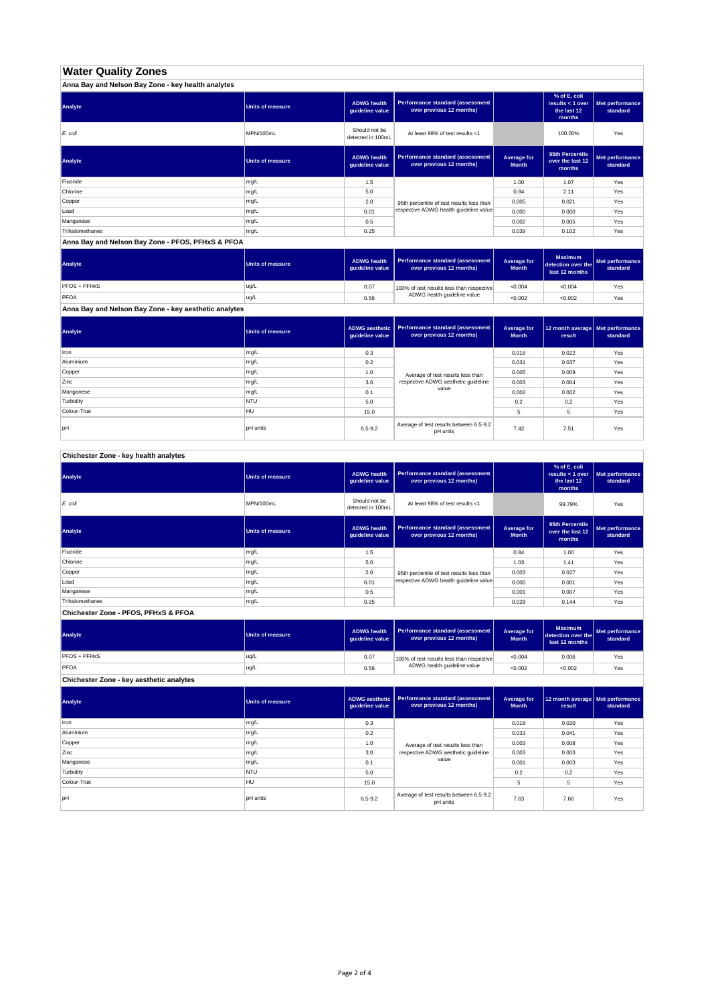# **Water Quality Zones**

| Anna Bay and Nelson Bay Zone - key health analytes |                  |                                       |                                                                     |                             |                                                           |                             |
|----------------------------------------------------|------------------|---------------------------------------|---------------------------------------------------------------------|-----------------------------|-----------------------------------------------------------|-----------------------------|
| Analyte                                            | Units of measure | <b>ADWG health</b><br>guideline value | <b>Performance standard (assessment</b><br>over previous 12 months) |                             | % of E. coli<br>results < 1 over<br>the last 12<br>months | Met performance<br>standard |
| E. coli                                            | MPN/100mL        | Should not be<br>detected in 100mL    | At least 98% of test results <1                                     |                             | 100.00%                                                   | Yes                         |
| Analyte                                            | Units of measure | <b>ADWG health</b><br>guideline value | <b>Performance standard (assessment</b><br>over previous 12 months) | Average for<br><b>Month</b> | 95th Percentile<br>over the last 12<br>months             | Met performance<br>standard |
| Fluoride                                           | mg/L             | 1.5                                   |                                                                     | 1.00                        | 1.07                                                      | Yes                         |
| Chlorine                                           | mg/L             | 5.0                                   |                                                                     | 0.84                        | 2.11                                                      | Yes                         |
| Copper                                             | mg/L             | 2.0                                   | 95th percentile of test results less than                           | 0.005                       | 0.021                                                     | Yes                         |
| Lead                                               | mg/L             | 0.01                                  | respective ADWG health guideline value                              | 0.000                       | 0.000                                                     | Yes                         |
| Manganese                                          | mg/L             | 0.5                                   |                                                                     | 0.002                       | 0.005                                                     | Yes                         |
| Trihalomethanes                                    | mg/L             | 0.25                                  |                                                                     | 0.039                       | 0.102                                                     | Yes                         |

**Anna Bay and Nelson Bay Zone - PFOS, PFHxS & PFOA**

| Analyte      | Units of measure | <b>ADWG health</b><br>quideline value | Performance standard (assessment<br>over previous 12 months) | <b>Average for</b><br><b>Month</b> | <b>Maximum</b><br>detection over the<br>last 12 months | Met performance<br>standard |
|--------------|------------------|---------------------------------------|--------------------------------------------------------------|------------------------------------|--------------------------------------------------------|-----------------------------|
| PFOS + PFHxS | ug/L             | 0.07                                  | 100% of test results less than respective                    | < 0.004                            | < 0.004                                                | Yes                         |
| PFOA         | ug/L             | 0.56                                  | ADWG health guideline value                                  | < 0.002                            | < 0.002                                                | Yes                         |

**Anna Bay and Nelson Bay Zone - key aesthetic analytes**

| Analyte     | Units of measure | ADWG aesthetic  <br>guideline value | Performance standard (assessment<br>over previous 12 months) | Average for<br><b>Month</b> | 12 month average   Met performance<br>result | standard |
|-------------|------------------|-------------------------------------|--------------------------------------------------------------|-----------------------------|----------------------------------------------|----------|
| Iron        | mg/L             | 0.3                                 |                                                              | 0.016                       | 0.022                                        | Yes      |
| Aluminium   | mg/L             | 0.2                                 |                                                              | 0.031                       | 0.037                                        | Yes      |
| Copper      | mg/L             | 1.0                                 | Average of test results less than                            | 0.005                       | 0.009                                        | Yes      |
| Zinc        | mg/L             | 3.0                                 | respective ADWG aesthetic quideline                          | 0.003                       | 0.004                                        | Yes      |
| Manganese   | mg/L             | 0.1                                 | value                                                        | 0.002                       | 0.002                                        | Yes      |
| Turbidity   | <b>NTU</b>       | 5.0                                 |                                                              | 0.2                         | 0.2                                          | Yes      |
| Colour-True | HU               | 15.0                                |                                                              |                             | 5                                            | Yes      |
| pH          | <b>pH</b> units  | $6.5 - 9.2$                         | Average of test results between 6.5-9.2<br>pH units          | 7.42                        | 7.51                                         | Yes      |

**Chichester Zone - key health analytes**

| Analyte         | <b>Units of measure</b> | <b>ADWG health</b><br>guideline value | Performance standard (assessment<br>over previous 12 months) |                             | % of E. coli<br>results $<$ 1 over<br>the last 12<br>months | Met performance<br>standard |
|-----------------|-------------------------|---------------------------------------|--------------------------------------------------------------|-----------------------------|-------------------------------------------------------------|-----------------------------|
| E. coli         | MPN/100mL               | Should not be<br>detected in 100mL    | At least 98% of test results <1                              |                             | 99.79%                                                      | Yes                         |
| Analyte         | <b>Units of measure</b> | <b>ADWG health</b><br>guideline value | Performance standard (assessment<br>over previous 12 months) | Average for<br><b>Month</b> | 95th Percentile<br>over the last 12<br>months               | Met performance<br>standard |
| Fluoride        | mg/L                    | 1.5                                   |                                                              | 0.84                        | 1.00                                                        | Yes                         |
| Chlorine        | mg/L                    | 5.0                                   |                                                              | 1.03                        | 1.41                                                        | Yes                         |
| Copper          | mg/L                    | 2.0                                   | 95th percentile of test results less than                    | 0.003                       | 0.027                                                       | Yes                         |
| Lead            | mg/L                    | 0.01                                  | respective ADWG health quideline value                       | 0.000                       | 0.001                                                       | Yes                         |
| Manganese       | mg/L                    | 0.5                                   |                                                              | 0.001                       | 0.007                                                       | Yes                         |
| Trihalomethanes | mg/L                    | 0.25                                  |                                                              | 0.028                       | 0.144                                                       | Yes                         |

**Chichester Zone - PFOS, PFHxS & PFOA**

| Analyte      | Units of measure | <b>ADWG health</b><br>quideline value | Performance standard (assessment<br>over previous 12 months) | Average for<br><b>Month</b> | <b>Maximum</b><br>detection over the<br>last 12 months | Met performance<br>standard |
|--------------|------------------|---------------------------------------|--------------------------------------------------------------|-----------------------------|--------------------------------------------------------|-----------------------------|
| PFOS + PFHxS | ug/L             | 0.07                                  | 100% of test results less than respective                    | < 0.004                     | 0.006                                                  | Yes                         |
| PFOA         | ug/L             | 0.56                                  | ADWG health guideline value                                  | < 0.002                     | < 0.002                                                | Yes                         |

**Chichester Zone - key aesthetic analytes**

| Analyte     | <b>Units of measure</b> | ADWG aesthetic<br>guideline value | <b>Performance standard (assessment</b><br>over previous 12 months) | Average for<br><b>Month</b> | 12 month average   Met performance<br>result | standard |
|-------------|-------------------------|-----------------------------------|---------------------------------------------------------------------|-----------------------------|----------------------------------------------|----------|
| Iron        | mg/L                    | 0.3                               |                                                                     | 0.018                       | 0.020                                        | Yes      |
| Aluminium   | mg/L                    | 0.2                               |                                                                     | 0.033                       | 0.041                                        | Yes      |
| Copper      | mg/L                    | 1.0                               | Average of test results less than                                   | 0.003                       | 0.008                                        | Yes      |
| Zinc        | mg/L                    | 3.0                               | respective ADWG aesthetic quideline                                 | 0.003                       | 0.003                                        | Yes      |
| Manganese   | mg/L                    | 0.1                               | value                                                               | 0.001                       | 0.003                                        | Yes      |
| Turbidity   | <b>NTU</b>              | 5.0                               |                                                                     | 0.2                         | 0.2                                          | Yes      |
| Colour-True | <b>HU</b>               | 15.0                              |                                                                     | 5                           | 5                                            | Yes      |
| pH          | pH units                | $6.5 - 9.2$                       | Average of test results between 6.5-9.2<br>pH units                 | 7.63                        | 7.66                                         | Yes      |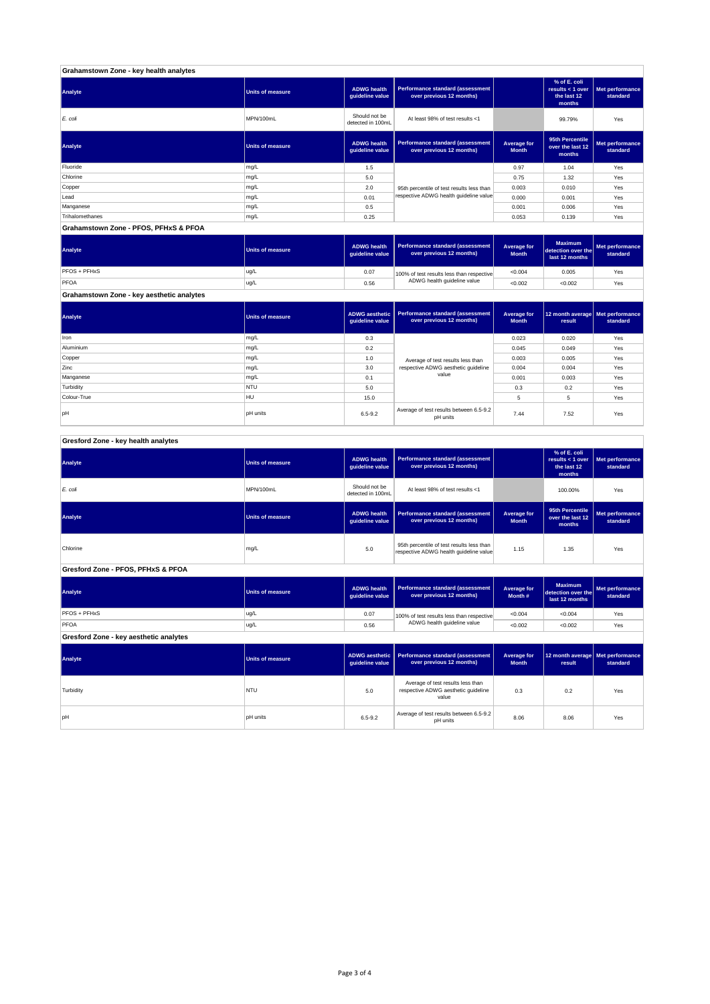| Grahamstown Zone - key health analytes |                         |                                       |                                                              |                             |                                                             |                             |
|----------------------------------------|-------------------------|---------------------------------------|--------------------------------------------------------------|-----------------------------|-------------------------------------------------------------|-----------------------------|
| Analyte                                | Units of measure        | <b>ADWG</b> health<br>quideline value | Performance standard (assessment<br>over previous 12 months) |                             | % of E. coli<br>results $<$ 1 over<br>the last 12<br>months | Met performance<br>standard |
| E. coli                                | MPN/100mL               | Should not be<br>detected in 100mL    | At least 98% of test results <1                              |                             | 99.79%                                                      | Yes                         |
| Analyte                                | <b>Units of measure</b> | <b>ADWG</b> health<br>quideline value | Performance standard (assessment<br>over previous 12 months) | Average for<br><b>Month</b> | 95th Percentile<br>over the last 12<br>months               | Met performance<br>standard |
| Fluoride                               | mg/L                    | 1.5                                   |                                                              | 0.97                        | 1.04                                                        | Yes                         |
| Chlorine                               | mg/L                    | 5.0                                   |                                                              | 0.75                        | 1.32                                                        | Yes                         |
| Copper                                 | mg/L                    | 2.0                                   | 95th percentile of test results less than                    | 0.003                       | 0.010                                                       | Yes                         |
| Lead                                   | mg/L                    | 0.01                                  | respective ADWG health guideline value                       | 0.000                       | 0.001                                                       | Yes                         |
| Manganese                              | mg/L                    | 0.5                                   |                                                              | 0.001                       | 0.006                                                       | Yes                         |
| Trihalomethanes                        | mg/L                    | 0.25                                  |                                                              | 0.053                       | 0.139                                                       | Yes                         |
| Grahamstown Zone - PFOS, PFHxS & PFOA  |                         |                                       |                                                              |                             |                                                             |                             |

#### **ADWG health guideline value Average for Month Maximum detection over the last 12 months Met performance standard** 0.07 100% of test results less than respective  $\sim 0.004$  0.005  $\sim$  Yes 0.56 <0.002 <0.002 Yes PFOS + PFHxS ug/L PFOA ug/L 100% of test results less than respective ADWG health guideline value **Analyte Performance standard (assessment <b>Performance standard (assessment Performance standard (assessment Performance standard (assessment Performance standard (assessment**

**Grahamstown Zone - key aesthetic analytes**

| Analyte     | <b>Units of measure</b> | quideline value | ADWG aesthetic   Performance standard (assessment  <br>over previous 12 months) | Average for<br><b>Month</b> | 12 month average   Met performance<br>result | standard |
|-------------|-------------------------|-----------------|---------------------------------------------------------------------------------|-----------------------------|----------------------------------------------|----------|
| Iron        | mg/L                    | 0.3             |                                                                                 | 0.023                       | 0.020                                        | Yes      |
| Aluminium   | mg/L                    | 0.2             |                                                                                 | 0.045                       | 0.049                                        | Yes      |
| Copper      | mg/L                    | 1.0             | Average of test results less than                                               | 0.003                       | 0.005                                        | Yes      |
| Zinc        | mg/L                    | 3.0             | respective ADWG aesthetic quideline                                             | 0.004                       | 0.004                                        | Yes      |
| Manganese   | mg/L                    | 0.1             | value                                                                           | 0.001                       | 0.003                                        | Yes      |
| Turbidity   | <b>NTU</b>              | 5.0             |                                                                                 | 0.3                         | 0.2                                          | Yes      |
| Colour-True | HU                      | 15.0            |                                                                                 | 5                           | 5                                            | Yes      |
| pH          | <b>pH</b> units         | $6.5 - 9.2$     | Average of test results between 6.5-9.2<br>pH units                             | 7.44                        | 7.52                                         | Yes      |

#### **ADWG health guideline value % of E. coli results < 1 over the last 12 months Met performance standard** Should not be<br>detected in 100ml detected in 100mL 100.00% Yes *E. coli* MPN/100mL At least 98% of test results <1 **ADWG health guideline value Average for Month 95th Percentile over the last 12 months Met performance standard** mg/L 95.0 percentile of test results less than percentile of test respective ADWG health guideline value to the metalline of the metalline value of the metalline value of the metalline value of the metalline value of the m **ADWG health guideline value Average for Month # Maximum detection over the last 12 months Met performance standard** 0.07 100% of test results less than respective  $\sim 0.004$   $\sim 0.004$  Yes 0.56 <0.002 <0.002 Yes **ADWG aesthetic guideline value Average for Month 12 month average result Met performance standard** 5.0 0.3 0.2 Yes Average of test results less than respective ADWG aesthetic guideline pH units 6.5-9.2 Average of test results between 6.5-9.2 8.06 8.06 Yes<br>Average of test results between 6.5-9.2 and 8.06 8.06 9.9 and 8.06 9.9 and 9.06 9.06 9.06 9.06 9.06 9.06 9.07 **Gresford Zone - key aesthetic analytes Analyte Performance standard (assessment Performance standard (assessment Performance standard (assessment Performance standard (assessment performance standard (assessment**) **Turbidity** NTU value **PFOS + PFHxS** ug/L PFOA ug/L 100% of test results less than respective ADWG health guideline value **Gresford Zone - PFOS, PFHxS & PFOA Analyte Performance standard (assessment <b>Performance standard (assessment Performance standard (assessment Performance standard (assessment performance standard (assessment Analyte Performance standard (assessment <b>Performance standard (assessment Performance standard (assessment Performance standard (assessment Performance standard (assessment Gresford Zone - key health analytes Analyte Performance standard (assessment Performance standard (assessment Performance standard (assessment Performance standard (assessment performance standard (assessment**